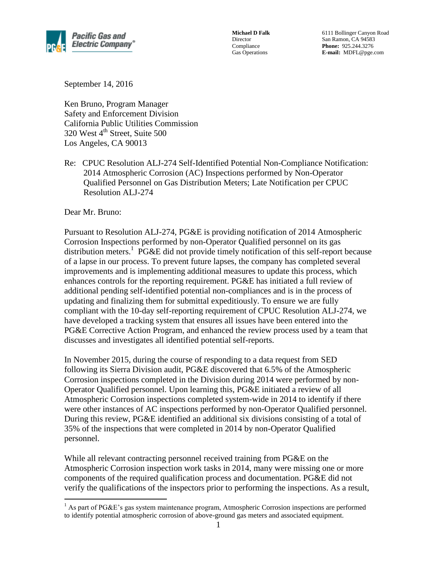

**Michael D Falk** Director Compliance Gas Operations

6111 Bollinger Canyon Road San Ramon, CA 94583 **Phone:** 925.244.3276 **E-mail:** MDFL@pge.com

September 14, 2016

Ken Bruno, Program Manager Safety and Enforcement Division California Public Utilities Commission 320 West 4<sup>th</sup> Street, Suite 500 Los Angeles, CA 90013

Re: CPUC Resolution ALJ-274 Self-Identified Potential Non-Compliance Notification: 2014 Atmospheric Corrosion (AC) Inspections performed by Non-Operator Qualified Personnel on Gas Distribution Meters; Late Notification per CPUC Resolution ALJ-274

Dear Mr. Bruno:

 $\overline{a}$ 

Pursuant to Resolution ALJ-274, PG&E is providing notification of 2014 Atmospheric Corrosion Inspections performed by non-Operator Qualified personnel on its gas distribution meters. 1 PG&E did not provide timely notification of this self-report because of a lapse in our process. To prevent future lapses, the company has completed several improvements and is implementing additional measures to update this process, which enhances controls for the reporting requirement. PG&E has initiated a full review of additional pending self-identified potential non-compliances and is in the process of updating and finalizing them for submittal expeditiously. To ensure we are fully compliant with the 10-day self-reporting requirement of CPUC Resolution ALJ-274, we have developed a tracking system that ensures all issues have been entered into the PG&E Corrective Action Program, and enhanced the review process used by a team that discusses and investigates all identified potential self-reports.

In November 2015, during the course of responding to a data request from SED following its Sierra Division audit, PG&E discovered that 6.5% of the Atmospheric Corrosion inspections completed in the Division during 2014 were performed by non-Operator Qualified personnel. Upon learning this, PG&E initiated a review of all Atmospheric Corrosion inspections completed system-wide in 2014 to identify if there were other instances of AC inspections performed by non-Operator Qualified personnel. During this review, PG&E identified an additional six divisions consisting of a total of 35% of the inspections that were completed in 2014 by non-Operator Qualified personnel.

While all relevant contracting personnel received training from PG&E on the Atmospheric Corrosion inspection work tasks in 2014, many were missing one or more components of the required qualification process and documentation. PG&E did not verify the qualifications of the inspectors prior to performing the inspections. As a result,

<sup>&</sup>lt;sup>1</sup> As part of PG&E's gas system maintenance program, Atmospheric Corrosion inspections are performed to identify potential atmospheric corrosion of above-ground gas meters and associated equipment.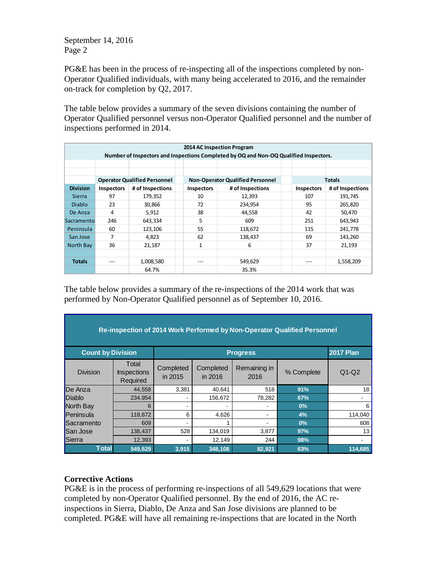PG&E has been in the process of re-inspecting all of the inspections completed by non-Operator Qualified individuals, with many being accelerated to 2016, and the remainder on-track for completion by Q2, 2017.

The table below provides a summary of the seven divisions containing the number of Operator Qualified personnel versus non-Operator Qualified personnel and the number of inspections performed in 2014.

| 2014 AC Inspection Program<br>Number of Inspectors and Inspections Completed by OQ and Non-OQ Qualified Inspectors. |                                     |                  |  |                                         |                  |  |                   |                  |
|---------------------------------------------------------------------------------------------------------------------|-------------------------------------|------------------|--|-----------------------------------------|------------------|--|-------------------|------------------|
|                                                                                                                     |                                     |                  |  |                                         |                  |  |                   |                  |
|                                                                                                                     |                                     |                  |  |                                         |                  |  |                   |                  |
|                                                                                                                     | <b>Operator Qualified Personnel</b> |                  |  | <b>Non-Operator Qualified Personnel</b> |                  |  | <b>Totals</b>     |                  |
| <b>Division</b>                                                                                                     | <b>Inspectors</b>                   | # of Inspections |  | <b>Inspectors</b>                       | # of Inspections |  | <b>Inspectors</b> | # of Inspections |
| <b>Sierra</b>                                                                                                       | 97                                  | 179,352          |  | 10                                      | 12,393           |  | 107               | 191,745          |
| <b>Diablo</b>                                                                                                       | 23                                  | 30,866           |  | 72                                      | 234,954          |  | 95                | 265,820          |
| De Anza                                                                                                             | 4                                   | 5,912            |  | 38                                      | 44.558           |  | 42                | 50,470           |
| Sacramento                                                                                                          | 246                                 | 643,334          |  | 5                                       | 609              |  | 251               | 643,943          |
| Peninsula                                                                                                           | 60                                  | 123,106          |  | 55                                      | 118,672          |  | 115               | 241,778          |
| San Jose                                                                                                            | 7                                   | 4,823            |  | 62                                      | 138,437          |  | 69                | 143,260          |
| North Bay                                                                                                           | 36                                  | 21,187           |  | $\mathbf{1}$                            | 6                |  | 37                | 21,193           |
|                                                                                                                     |                                     |                  |  |                                         |                  |  |                   |                  |
| <b>Totals</b>                                                                                                       |                                     | 1,008,580        |  | $- - -$                                 | 549,629          |  | $- - -$           | 1,558,209        |
|                                                                                                                     |                                     | 64.7%            |  |                                         | 35.3%            |  |                   |                  |

The table below provides a summary of the re-inspections of the 2014 work that was performed by Non-Operator Qualified personnel as of September 10, 2016.

| Re-inspection of 2014 Work Performed by Non-Operator Qualified Personnel |                                         |                      |                      |                          |            |         |  |  |
|--------------------------------------------------------------------------|-----------------------------------------|----------------------|----------------------|--------------------------|------------|---------|--|--|
| <b>Count by Division</b>                                                 |                                         |                      | <b>2017 Plan</b>     |                          |            |         |  |  |
| <b>Division</b>                                                          | Total<br><b>Inspections</b><br>Required | Completed<br>in 2015 | Completed<br>in 2016 | Remaining in<br>2016     | % Complete | $Q1-Q2$ |  |  |
| De Anza                                                                  | 44.558                                  | 3,381                | 40,641               | 518                      | 91%        | 18      |  |  |
| Diablo                                                                   | 234,954                                 |                      | 156,672              | 78,282                   | 67%        |         |  |  |
| North Bav                                                                | 6                                       |                      |                      |                          | 0%         | 6       |  |  |
| Peninsula                                                                | 118,672                                 | 6                    | 4,626                | $\overline{\phantom{0}}$ | 4%         | 114,040 |  |  |
| Sacramento                                                               | 609                                     |                      |                      |                          | 0%         | 608     |  |  |
| San Jose                                                                 | 138,437                                 | 528                  | 134,019              | 3,877                    | 97%        | 13      |  |  |
| Sierra                                                                   | 12,393                                  |                      | 12,149               | 244                      | 98%        |         |  |  |
| <b>Total</b>                                                             | 549,629                                 | 3,915                | 348,108              | 82,921                   | 63%        | 114,685 |  |  |

# **Corrective Actions**

PG&E is in the process of performing re-inspections of all 549,629 locations that were completed by non-Operator Qualified personnel. By the end of 2016, the AC reinspections in Sierra, Diablo, De Anza and San Jose divisions are planned to be completed. PG&E will have all remaining re-inspections that are located in the North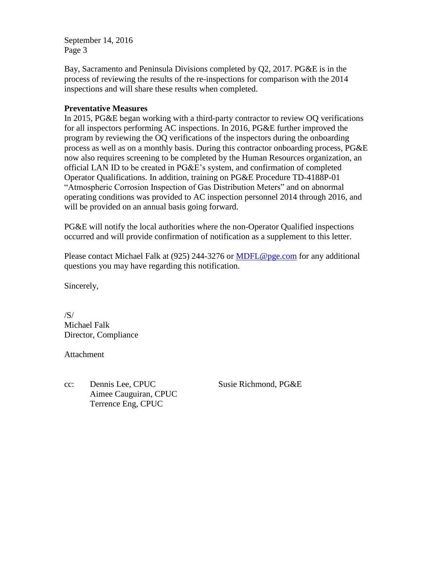Bay, Sacramento and Peninsula Divisions completed by Q2, 2017. PG&E is in the process of reviewing the results of the re-inspections for comparison with the 2014 inspections and will share these results when completed.

### **Preventative Measures**

In 2015, PG&E began working with a third-party contractor to review OQ verifications for all inspectors performing AC inspections. In 2016, PG&E further improved the program by reviewing the OQ verifications of the inspectors during the onboarding process as well as on a monthly basis. During this contractor onboarding process, PG&E now also requires screening to be completed by the Human Resources organization, an official LAN ID to be created in PG&E's system, and confirmation of completed Operator Qualifications. In addition, training on PG&E Procedure TD-4188P-01 "Atmospheric Corrosion Inspection of Gas Distribution Meters" and on abnormal operating conditions was provided to AC inspection personnel 2014 through 2016, and will be provided on an annual basis going forward.

PG&E will notify the local authorities where the non-Operator Qualified inspections occurred and will provide confirmation of notification as a supplement to this letter.

Please contact Michael Falk at (925) 244-3276 or [MDFL@pge.com](mailto:MDFL@pge.com) for any additional questions you may have regarding this notification.

Sincerely,

/S/ Michael Falk Director, Compliance

Attachment

cc: Dennis Lee, CPUC Susie Richmond, PG&E Aimee Cauguiran, CPUC Terrence Eng, CPUC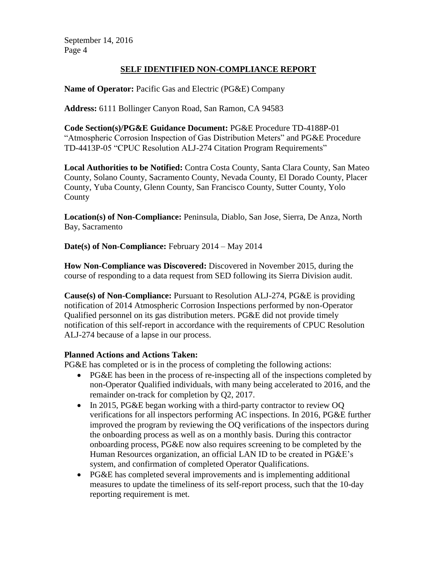# **SELF IDENTIFIED NON-COMPLIANCE REPORT**

**Name of Operator:** Pacific Gas and Electric (PG&E) Company

**Address:** 6111 Bollinger Canyon Road, San Ramon, CA 94583

**Code Section(s)/PG&E Guidance Document:** PG&E Procedure TD-4188P-01 "Atmospheric Corrosion Inspection of Gas Distribution Meters" and PG&E Procedure TD-4413P-05 "CPUC Resolution ALJ-274 Citation Program Requirements"

**Local Authorities to be Notified:** Contra Costa County, Santa Clara County, San Mateo County, Solano County, Sacramento County, Nevada County, El Dorado County, Placer County, Yuba County, Glenn County, San Francisco County, Sutter County, Yolo County

**Location(s) of Non-Compliance:** Peninsula, Diablo, San Jose, Sierra, De Anza, North Bay, Sacramento

**Date(s) of Non-Compliance:** February 2014 – May 2014

**How Non-Compliance was Discovered:** Discovered in November 2015, during the course of responding to a data request from SED following its Sierra Division audit.

**Cause(s) of Non-Compliance:** Pursuant to Resolution ALJ-274, PG&E is providing notification of 2014 Atmospheric Corrosion Inspections performed by non-Operator Qualified personnel on its gas distribution meters. PG&E did not provide timely notification of this self-report in accordance with the requirements of CPUC Resolution ALJ-274 because of a lapse in our process.

#### **Planned Actions and Actions Taken:**

PG&E has completed or is in the process of completing the following actions:

- PG&E has been in the process of re-inspecting all of the inspections completed by non-Operator Qualified individuals, with many being accelerated to 2016, and the remainder on-track for completion by Q2, 2017.
- In 2015, PG&E began working with a third-party contractor to review OO verifications for all inspectors performing AC inspections. In 2016, PG&E further improved the program by reviewing the OQ verifications of the inspectors during the onboarding process as well as on a monthly basis. During this contractor onboarding process, PG&E now also requires screening to be completed by the Human Resources organization, an official LAN ID to be created in PG&E's system, and confirmation of completed Operator Qualifications.
- PG&E has completed several improvements and is implementing additional measures to update the timeliness of its self-report process, such that the 10-day reporting requirement is met.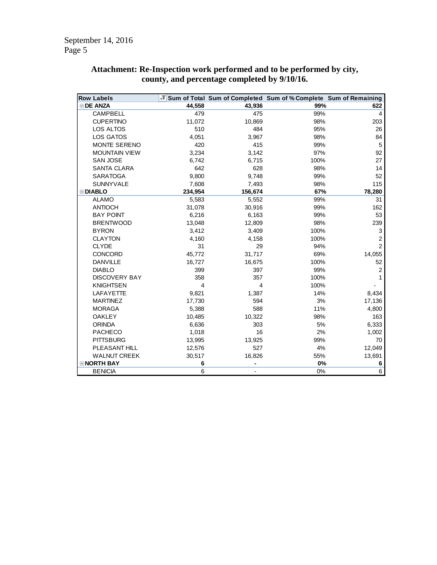| <b>Row Labels</b>    |         |                          | → Sum of Total Sum of Completed Sum of % Complete Sum of Remaining |                |
|----------------------|---------|--------------------------|--------------------------------------------------------------------|----------------|
| <b>EDE ANZA</b>      | 44,558  | 43,936                   | 99%                                                                | 622            |
| <b>CAMPBELL</b>      | 479     | 475                      | 99%                                                                | 4              |
| <b>CUPERTINO</b>     | 11,072  | 10,869                   | 98%                                                                | 203            |
| LOS ALTOS            | 510     | 484                      | 95%                                                                | 26             |
| LOS GATOS            | 4,051   | 3,967                    | 98%                                                                | 84             |
| <b>MONTE SERENO</b>  | 420     | 415                      | 99%                                                                | 5              |
| <b>MOUNTAIN VIEW</b> | 3,234   | 3,142                    | 97%                                                                | 92             |
| <b>SAN JOSE</b>      | 6,742   | 6,715                    | 100%                                                               | 27             |
| <b>SANTA CLARA</b>   | 642     | 628                      | 98%                                                                | 14             |
| <b>SARATOGA</b>      | 9,800   | 9,748                    | 99%                                                                | 52             |
| <b>SUNNYVALE</b>     | 7,608   | 7,493                    | 98%                                                                | 115            |
| <b>EDIABLO</b>       | 234,954 | 156,674                  | 67%                                                                | 78,280         |
| <b>ALAMO</b>         | 5,583   | 5,552                    | 99%                                                                | 31             |
| <b>ANTIOCH</b>       | 31,078  | 30,916                   | 99%                                                                | 162            |
| <b>BAY POINT</b>     | 6,216   | 6,163                    | 99%                                                                | 53             |
| <b>BRENTWOOD</b>     | 13,048  | 12,809                   | 98%                                                                | 239            |
| <b>BYRON</b>         | 3,412   | 3,409                    | 100%                                                               | 3              |
| <b>CLAYTON</b>       | 4,160   | 4,158                    | 100%                                                               | $\overline{2}$ |
| <b>CLYDE</b>         | 31      | 29                       | 94%                                                                | $\overline{2}$ |
| <b>CONCORD</b>       | 45,772  | 31,717                   | 69%                                                                | 14,055         |
| <b>DANVILLE</b>      | 16,727  | 16,675                   | 100%                                                               | 52             |
| <b>DIABLO</b>        | 399     | 397                      | 99%                                                                | $\overline{2}$ |
| <b>DISCOVERY BAY</b> | 358     | 357                      | 100%                                                               |                |
| <b>KNIGHTSEN</b>     | 4       | $\overline{4}$           | 100%                                                               |                |
| LAFAYETTE            | 9,821   | 1,387                    | 14%                                                                | 8,434          |
| <b>MARTINEZ</b>      | 17,730  | 594                      | 3%                                                                 | 17,136         |
| <b>MORAGA</b>        | 5,388   | 588                      | 11%                                                                | 4,800          |
| <b>OAKLEY</b>        | 10,485  | 10,322                   | 98%                                                                | 163            |
| <b>ORINDA</b>        | 6,636   | 303                      | 5%                                                                 | 6,333          |
| <b>PACHECO</b>       | 1,018   | 16                       | 2%                                                                 | 1,002          |
| <b>PITTSBURG</b>     | 13,995  | 13,925                   | 99%                                                                | 70             |
| PLEASANT HILL        | 12,576  | 527                      | 4%                                                                 | 12,049         |
| <b>WALNUT CREEK</b>  | 30,517  | 16,826                   | 55%                                                                | 13,691         |
| <b>ENORTH BAY</b>    | 6       |                          | 0%                                                                 | 6              |
| <b>BENICIA</b>       | 6       | $\overline{\phantom{0}}$ | 0%                                                                 | 6              |

#### **Attachment: Re-Inspection work performed and to be performed by city, county, and percentage completed by 9/10/16.**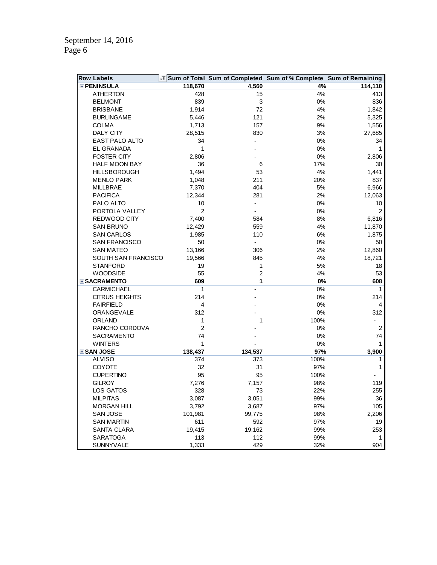| <b>Row Labels</b>     |                |                          | T Sum of Total Sum of Completed Sum of % Complete Sum of Remaining |                |
|-----------------------|----------------|--------------------------|--------------------------------------------------------------------|----------------|
| <b>EPENINSULA</b>     | 118,670        | 4,560                    | 4%                                                                 | 114,110        |
| <b>ATHERTON</b>       | 428            | 15                       | 4%                                                                 | 413            |
| <b>BELMONT</b>        | 839            | 3                        | 0%                                                                 | 836            |
| <b>BRISBANE</b>       | 1,914          | 72                       | 4%                                                                 | 1,842          |
| <b>BURLINGAME</b>     | 5,446          | 121                      | 2%                                                                 | 5,325          |
| <b>COLMA</b>          | 1,713          | 157                      | 9%                                                                 | 1,556          |
| <b>DALY CITY</b>      | 28,515         | 830                      | $3%$                                                               | 27,685         |
| EAST PALO ALTO        | 34             |                          | $0\%$                                                              | 34             |
| <b>EL GRANADA</b>     | 1              |                          | 0%                                                                 | $\mathbf{1}$   |
| <b>FOSTER CITY</b>    | 2,806          |                          | $0\%$                                                              | 2,806          |
| HALF MOON BAY         | 36             | 6                        | 17%                                                                | 30             |
| <b>HILLSBOROUGH</b>   | 1,494          | 53                       | 4%                                                                 | 1,441          |
| <b>MENLO PARK</b>     | 1,048          | 211                      | 20%                                                                | 837            |
| MILLBRAE              | 7,370          | 404                      | $5%$                                                               | 6,966          |
| <b>PACIFICA</b>       | 12,344         | 281                      | 2%                                                                 | 12,063         |
| PALO ALTO             | 10             | $\overline{\phantom{a}}$ | $0\%$                                                              | 10             |
| PORTOLA VALLEY        | 2              |                          | 0%                                                                 | $\overline{2}$ |
| REDWOOD CITY          | 7,400          | 584                      | 8%                                                                 | 6,816          |
| <b>SAN BRUNO</b>      | 12,429         | 559                      | 4%                                                                 | 11,870         |
| <b>SAN CARLOS</b>     | 1,985          | 110                      | $6\%$                                                              | 1,875          |
| SAN FRANCISCO         | 50             | $\overline{\phantom{a}}$ | 0%                                                                 | 50             |
| <b>SAN MATEO</b>      | 13,166         | 306                      | 2%                                                                 | 12,860         |
| SOUTH SAN FRANCISCO   | 19,566         | 845                      | 4%                                                                 | 18,721         |
| <b>STANFORD</b>       | 19             | $\mathbf{1}$             | $5%$                                                               | 18             |
| <b>WOODSIDE</b>       | 55             | $\overline{c}$           | 4%                                                                 | 53             |
| <b>ESACRAMENTO</b>    | 609            | 1                        | 0%                                                                 | 608            |
| <b>CARMICHAEL</b>     | 1              |                          | $0\%$                                                              | $\mathbf{1}$   |
| <b>CITRUS HEIGHTS</b> | 214            |                          | 0%                                                                 | 214            |
| <b>FAIRFIELD</b>      | 4              |                          | 0%                                                                 | 4              |
| ORANGEVALE            | 312            |                          | 0%                                                                 | 312            |
| <b>ORLAND</b>         | 1              | 1                        | 100%                                                               |                |
| RANCHO CORDOVA        | $\overline{2}$ |                          | 0%                                                                 | $\sqrt{2}$     |
| <b>SACRAMENTO</b>     | 74             |                          | 0%                                                                 | 74             |
| <b>WINTERS</b>        | 1              |                          | $0\%$                                                              | 1              |
| <b>⊟SAN JOSE</b>      | 138,437        | 134,537                  | 97%                                                                | 3,900          |
| <b>ALVISO</b>         | 374            | 373                      | 100%                                                               | 1              |
| <b>COYOTE</b>         | 32             | 31                       | 97%                                                                | 1              |
| <b>CUPERTINO</b>      | 95             | 95                       | 100%                                                               |                |
| <b>GILROY</b>         | 7,276          | 7,157                    | 98%                                                                | 119            |
| LOS GATOS             | 328            | 73                       | 22%                                                                | 255            |
| <b>MILPITAS</b>       | 3,087          | 3,051                    | 99%                                                                | 36             |
| <b>MORGAN HILL</b>    | 3,792          | 3,687                    | 97%                                                                | 105            |
| <b>SAN JOSE</b>       | 101,981        | 99,775                   | 98%                                                                | 2,206          |
| <b>SAN MARTIN</b>     | 611            | 592                      | 97%                                                                | 19             |
| SANTA CLARA           | 19,415         | 19,162                   | 99%                                                                | 253            |
| <b>SARATOGA</b>       | 113            | 112                      | 99%                                                                | $\mathbf 1$    |
| SUNNYVALE             | 1,333          | 429                      | 32%                                                                | 904            |